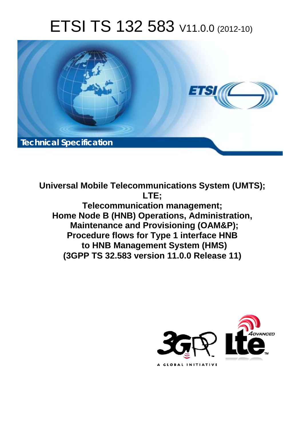# ETSI TS 132 583 V11.0.0 (2012-10)



**Universal Mobile Telecommunications System (UMTS); LTE; Telecommunication management; Home Node B (HNB) Operations, Administration, Maintenance and Provisioning (OAM&P); Procedure flows for Type 1 interface HNB to HNB Management System (HMS) (3GPP TS 32.583 version 11.0.0 Release 11)** 

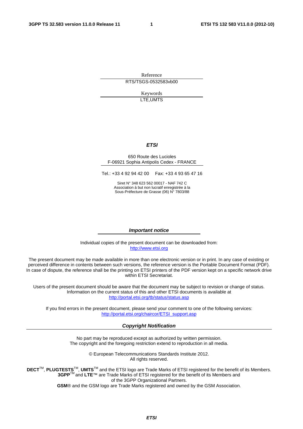Reference RTS/TSGS-0532583vb00

> Keywords LTE,UMTS

### *ETSI*

#### 650 Route des Lucioles F-06921 Sophia Antipolis Cedex - FRANCE

Tel.: +33 4 92 94 42 00 Fax: +33 4 93 65 47 16

Siret N° 348 623 562 00017 - NAF 742 C Association à but non lucratif enregistrée à la Sous-Préfecture de Grasse (06) N° 7803/88

#### *Important notice*

Individual copies of the present document can be downloaded from: [http://www.etsi.org](http://www.etsi.org/)

The present document may be made available in more than one electronic version or in print. In any case of existing or perceived difference in contents between such versions, the reference version is the Portable Document Format (PDF). In case of dispute, the reference shall be the printing on ETSI printers of the PDF version kept on a specific network drive within ETSI Secretariat.

Users of the present document should be aware that the document may be subject to revision or change of status. Information on the current status of this and other ETSI documents is available at <http://portal.etsi.org/tb/status/status.asp>

If you find errors in the present document, please send your comment to one of the following services: [http://portal.etsi.org/chaircor/ETSI\\_support.asp](http://portal.etsi.org/chaircor/ETSI_support.asp)

### *Copyright Notification*

No part may be reproduced except as authorized by written permission. The copyright and the foregoing restriction extend to reproduction in all media.

> © European Telecommunications Standards Institute 2012. All rights reserved.

DECT<sup>™</sup>, PLUGTESTS<sup>™</sup>, UMTS<sup>™</sup> and the ETSI logo are Trade Marks of ETSI registered for the benefit of its Members. **3GPP**TM and **LTE**™ are Trade Marks of ETSI registered for the benefit of its Members and of the 3GPP Organizational Partners.

**GSM**® and the GSM logo are Trade Marks registered and owned by the GSM Association.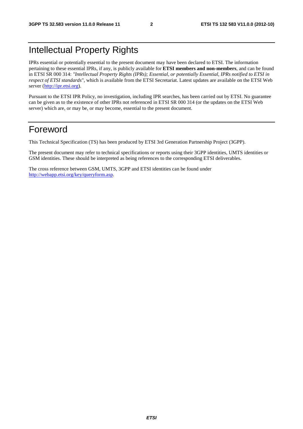# Intellectual Property Rights

IPRs essential or potentially essential to the present document may have been declared to ETSI. The information pertaining to these essential IPRs, if any, is publicly available for **ETSI members and non-members**, and can be found in ETSI SR 000 314: *"Intellectual Property Rights (IPRs); Essential, or potentially Essential, IPRs notified to ETSI in respect of ETSI standards"*, which is available from the ETSI Secretariat. Latest updates are available on the ETSI Web server [\(http://ipr.etsi.org](http://webapp.etsi.org/IPR/home.asp)).

Pursuant to the ETSI IPR Policy, no investigation, including IPR searches, has been carried out by ETSI. No guarantee can be given as to the existence of other IPRs not referenced in ETSI SR 000 314 (or the updates on the ETSI Web server) which are, or may be, or may become, essential to the present document.

# Foreword

This Technical Specification (TS) has been produced by ETSI 3rd Generation Partnership Project (3GPP).

The present document may refer to technical specifications or reports using their 3GPP identities, UMTS identities or GSM identities. These should be interpreted as being references to the corresponding ETSI deliverables.

The cross reference between GSM, UMTS, 3GPP and ETSI identities can be found under [http://webapp.etsi.org/key/queryform.asp.](http://webapp.etsi.org/key/queryform.asp)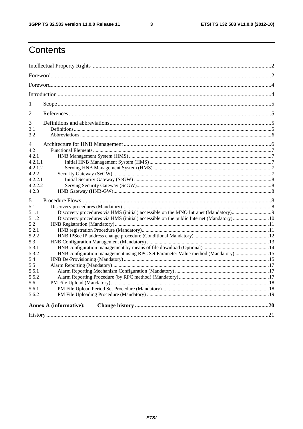$\mathbf{3}$ 

# Contents

| $For word  ________  ________  ________  ________  ________  ________  ________  ________  ________  ________  ________  ________  ________  ________$                                                                |  |  |  |  |  |  |
|-----------------------------------------------------------------------------------------------------------------------------------------------------------------------------------------------------------------------|--|--|--|--|--|--|
|                                                                                                                                                                                                                       |  |  |  |  |  |  |
|                                                                                                                                                                                                                       |  |  |  |  |  |  |
| 1                                                                                                                                                                                                                     |  |  |  |  |  |  |
| 2                                                                                                                                                                                                                     |  |  |  |  |  |  |
| 3<br>3.1<br>3.2                                                                                                                                                                                                       |  |  |  |  |  |  |
| 4<br>4.2<br>4.2.1<br>4.2.1.1<br>4.2.1.2<br>4.2.2<br>4.2.2.1<br>4.2.2.2                                                                                                                                                |  |  |  |  |  |  |
| 4.2.3<br>5                                                                                                                                                                                                            |  |  |  |  |  |  |
| 5.1<br>5.1.1<br>5.1.2<br>5.2<br>5.2.1<br>5.2.2<br>5.3<br>5.3.1<br>HNB configuration management using RPC Set Parameter Value method (Mandatory)  15<br>5.3.2<br>5.4<br>5.5<br>5.5.1<br>5.5.2<br>5.6<br>5.6.1<br>5.6.2 |  |  |  |  |  |  |
| <b>Annex A (informative):</b>                                                                                                                                                                                         |  |  |  |  |  |  |
|                                                                                                                                                                                                                       |  |  |  |  |  |  |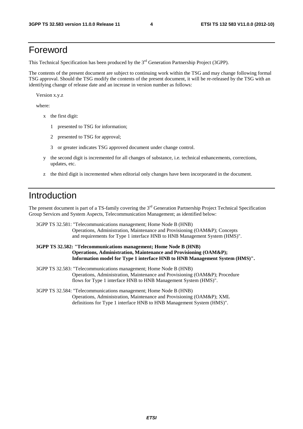# Foreword

This Technical Specification has been produced by the 3<sup>rd</sup> Generation Partnership Project (3GPP).

The contents of the present document are subject to continuing work within the TSG and may change following formal TSG approval. Should the TSG modify the contents of the present document, it will be re-released by the TSG with an identifying change of release date and an increase in version number as follows:

Version x.y.z

where:

- x the first digit:
	- 1 presented to TSG for information;
	- 2 presented to TSG for approval;
	- 3 or greater indicates TSG approved document under change control.
- y the second digit is incremented for all changes of substance, i.e. technical enhancements, corrections, updates, etc.
- z the third digit is incremented when editorial only changes have been incorporated in the document.

# Introduction

The present document is part of a TS-family covering the  $3<sup>rd</sup>$  Generation Partnership Project Technical Specification Group Services and System Aspects, Telecommunication Management; as identified below:

3GPP TS 32.581: "Telecommunications management; Home Node B (HNB) Operations, Administration, Maintenance and Provisioning (OAM&P); Concepts and requirements for Type 1 interface HNB to HNB Management System (HMS)".

### **3GPP TS 32.582: "Telecommunications management; Home Node B (HNB) Operations, Administration, Maintenance and Provisioning (OAM&P); Information model for Type 1 interface HNB to HNB Management System (HMS)".**

- 3GPP TS 32.583: "Telecommunications management; Home Node B (HNB) Operations, Administration, Maintenance and Provisioning (OAM&P); Procedure flows for Type 1 interface HNB to HNB Management System (HMS)".
- 3GPP TS 32.584: "Telecommunications management; Home Node B (HNB) Operations, Administration, Maintenance and Provisioning (OAM&P); XML definitions for Type 1 interface HNB to HNB Management System (HMS)".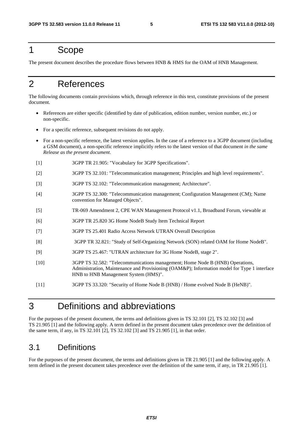# 1 Scope

The present document describes the procedure flows between HNB & HMS for the OAM of HNB Management.

# 2 References

The following documents contain provisions which, through reference in this text, constitute provisions of the present document.

- References are either specific (identified by date of publication, edition number, version number, etc.) or non-specific.
- For a specific reference, subsequent revisions do not apply.
- For a non-specific reference, the latest version applies. In the case of a reference to a 3GPP document (including a GSM document), a non-specific reference implicitly refers to the latest version of that document *in the same Release as the present document*.
- [1] 3GPP TR 21.905: "Vocabulary for 3GPP Specifications".
- [2] 3GPP TS 32.101: "Telecommunication management; Principles and high level requirements".
- [3] 3GPP TS 32.102: "Telecommunication management; Architecture".
- [4] 3GPP TS 32.300: "Telecommunication management; Configuration Management (CM); Name convention for Managed Objects".
- [5] TR-069 Amendment 2, CPE WAN Management Protocol v1.1, Broadband Forum, viewable at
- [6] 3GPP TR 25.820 3G Home NodeB Study Item Technical Report
- [7] 3GPP TS 25.401 Radio Access Network UTRAN Overall Description
- [8] 3GPP TR 32.821: "Study of Self-Organizing Network (SON) related OAM for Home NodeB".
- [9] 3GPP TS 25.467: "UTRAN architecture for 3G Home NodeB, stage 2".
- [10] 3GPP TS 32.582: "Telecommunications management; Home Node B (HNB) Operations, Administration, Maintenance and Provisioning (OAM&P); Information model for Type 1 interface HNB to HNB Management System (HMS)".
- [11] 3GPP TS 33.320: "Security of Home Node B (HNB) / Home evolved Node B (HeNB)".

# 3 Definitions and abbreviations

For the purposes of the present document, the terms and definitions given in TS 32.101 [2], TS 32.102 [3] and TS 21.905 [1] and the following apply. A term defined in the present document takes precedence over the definition of the same term, if any, in TS 32.101 [2], TS 32.102 [3] and TS 21.905 [1], in that order.

# 3.1 Definitions

For the purposes of the present document, the terms and definitions given in TR 21.905 [1] and the following apply. A term defined in the present document takes precedence over the definition of the same term, if any, in TR 21.905 [1].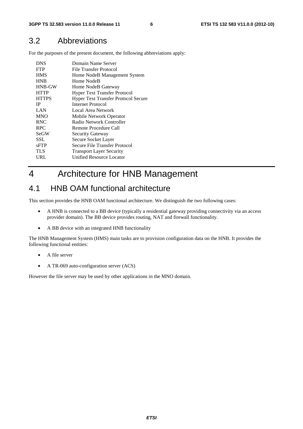# 3.2 Abbreviations

For the purposes of the present document, the following abbreviations apply:

| <b>DNS</b>    | Domain Name Server                         |
|---------------|--------------------------------------------|
| <b>FTP</b>    | File Transfer Protocol                     |
| <b>HMS</b>    | Home NodeB Management System               |
| <b>HNB</b>    | Home NodeB                                 |
| <b>HNB-GW</b> | Home NodeB Gateway                         |
| <b>HTTP</b>   | <b>Hyper Text Transfer Protocol</b>        |
| <b>HTTPS</b>  | <b>Hyper Text Transfer Protocol Secure</b> |
| <b>IP</b>     | Internet Protocol                          |
| LAN           | Local Area Network                         |
| <b>MNO</b>    | Mobile Network Operator                    |
| <b>RNC</b>    | Radio Network Controller                   |
| <b>RPC</b>    | Remote Procedure Call                      |
| <b>SeGW</b>   | <b>Security Gateway</b>                    |
| SSL.          | Secure Socket Layer                        |
| sFTP          | Secure File Transfer Protocol              |
| TLS           | <b>Transport Layer Security</b>            |
| URL           | <b>Unified Resource Locator</b>            |
|               |                                            |

# 4 Architecture for HNB Management

# 4.1 HNB OAM functional architecture

This section provides the HNB OAM functional architecture. We distinguish the two following cases:

- A HNB is connected to a BB device (typically a residential gateway providing connectivity via an access provider domain). The BB device provides routing, NAT and firewall functionality.
- A BB device with an integrated HNB functionality

The HNB Management System (HMS) main tasks are to provision configuration data on the HNB. It provides the following functional entities:

- A file server
- A TR-069 auto-configuration server (ACS)

However the file server may be used by other applications in the MNO domain.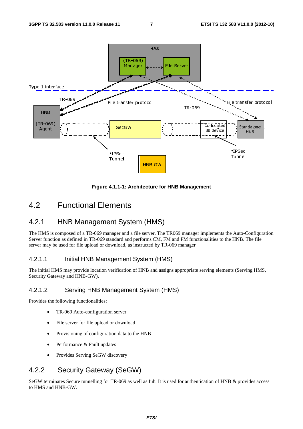

**Figure 4.1.1-1: Architecture for HNB Management** 

# 4.2 Functional Elements

### 4.2.1 HNB Management System (HMS)

The HMS is composed of a TR-069 manager and a file server. The TR069 manager implements the Auto-Configuration Server function as defined in TR-069 standard and performs CM, FM and PM functionalities to the HNB. The file server may be used for file upload or download, as instructed by TR-069 manager

### 4.2.1.1 Initial HNB Management System (HMS)

The initial HMS may provide location verification of HNB and assigns appropriate serving elements (Serving HMS, Security Gateway and HNB-GW).

### 4.2.1.2 Serving HNB Management System (HMS)

Provides the following functionalities:

- TR-069 Auto-configuration server
- File server for file upload or download
- Provisioning of configuration data to the HNB
- Performance & Fault updates
- Provides Serving SeGW discovery

# 4.2.2 Security Gateway (SeGW)

SeGW terminates Secure tunnelling for TR-069 as well as Iuh. It is used for authentication of HNB & provides access to HMS and HNB-GW.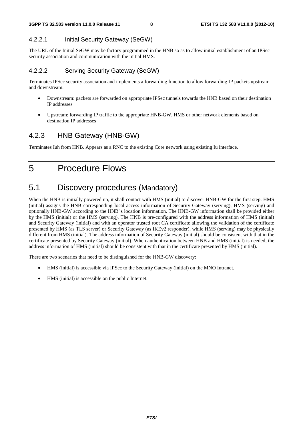### 4.2.2.1 Initial Security Gateway (SeGW)

The URL of the Initial SeGW may be factory programmed in the HNB so as to allow initial establishment of an IPSec security association and communication with the initial HMS.

### 4.2.2.2 Serving Security Gateway (SeGW)

Terminates IPSec security association and implements a forwarding function to allow forwarding IP packets upstream and downstream:

- Downstream: packets are forwarded on appropriate IPSec tunnels towards the HNB based on their destination IP addresses
- Upstream: forwarding IP traffic to the appropriate HNB-GW, HMS or other network elements based on destination IP addresses

# 4.2.3 HNB Gateway (HNB-GW)

Terminates Iuh from HNB. Appears as a RNC to the existing Core network using existing Iu interface.

5 Procedure Flows

# 5.1 Discovery procedures (Mandatory)

When the HNB is initially powered up, it shall contact with HMS (initial) to discover HNB-GW for the first step. HMS (initial) assigns the HNB corresponding local access information of Security Gateway (serving), HMS (serving) and optionally HNB-GW according to the HNB"s location information. The HNB-GW information shall be provided either by the HMS (initial) or the HMS (serving). The HNB is pre-configured with the address information of HMS (initial) and Security Gateway (initial) and with an operator trusted root CA certificate allowing the validation of the certificate presented by HMS (as TLS server) or Security Gateway (as IKEv2 responder), while HMS (serving) may be physically different from HMS (initial). The address information of Security Gateway (initial) should be consistent with that in the certificate presented by Security Gateway (initial). When authentication between HNB and HMS (initial) is needed, the address information of HMS (initial) should be consistent with that in the certificate presented by HMS (initial).

There are two scenarios that need to be distinguished for the HNB-GW discovery:

- HMS (initial) is accessible via IPSec to the Security Gateway (initial) on the MNO Intranet.
- HMS (initial) is accessible on the public Internet.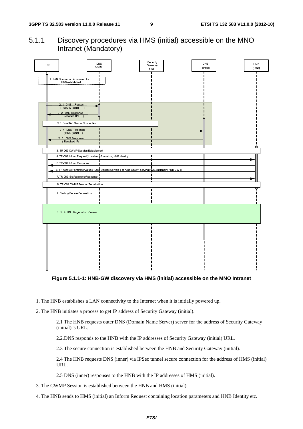5.1.1 Discovery procedures via HMS (initial) accessible on the MNO Intranet (Mandatory)



**Figure 5.1.1-1: HNB-GW discovery via HMS (initial) accessible on the MNO Intranet** 

- 1. The HNB establishes a LAN connectivity to the Internet when it is initially powered up.
- 2. The HNB initiates a process to get IP address of Security Gateway (initial).

2.1 The HNB requests outer DNS (Domain Name Server) server for the address of Security Gateway (initial)"s URL.

2.2.DNS responds to the HNB with the IP addresses of Security Gateway (initial) URL.

2.3 The secure connection is established between the HNB and Security Gateway (initial).

2.4 The HNB requests DNS (inner) via IPSec tunnel secure connection for the address of HMS (initial) URL.

2.5 DNS (inner) responses to the HNB with the IP addresses of HMS (initial).

3. The CWMP Session is established between the HNB and HMS (initial).

4. The HNB sends to HMS (initial) an Inform Request containing location parameters and HNB Identity etc.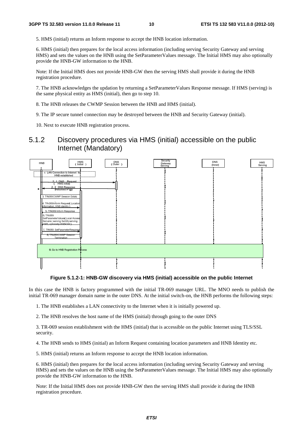5. HMS (initial) returns an Inform response to accept the HNB location information.

6. HMS (initial) then prepares for the local access information (including serving Security Gateway and serving HMS) and sets the values on the HNB using the SetParameterValues message. The Initial HMS may also optionally provide the HNB-GW information to the HNB.

Note: If the Initial HMS does not provide HNB-GW then the serving HMS shall provide it during the HNB registration procedure.

7. The HNB acknowledges the updation by returning a SetParameterValues Response message. If HMS (serving) is the same physical entity as HMS (initial), then go to step 10.

8. The HNB releases the CWMP Session between the HNB and HMS (initial).

9. The IP secure tunnel connection may be destroyed between the HNB and Security Gateway (initial).

10. Next to execute HNB registration process.

### 5.1.2 Discovery procedures via HMS (initial) accessible on the public Internet (Mandatory)



**Figure 5.1.2-1: HNB-GW discovery via HMS (initial) accessible on the public Internet**

In this case the HNB is factory programmed with the initial TR-069 manager URL. The MNO needs to publish the initial TR-069 manager domain name in the outer DNS. At the initial switch-on, the HNB performs the following steps:

1. The HNB establishes a LAN connectivity to the Internet when it is initially powered up.

2. The HNB resolves the host name of the HMS (initial) through going to the outer DNS

3. TR-069 session establishment with the HMS (initial) that is accessible on the public Internet using TLS/SSL security.

4. The HNB sends to HMS (initial) an Inform Request containing location parameters and HNB Identity etc.

5. HMS (initial) returns an Inform response to accept the HNB location information.

6. HMS (initial) then prepares for the local access information (including serving Security Gateway and serving HMS) and sets the values on the HNB using the SetParameterValues message. The Initial HMS may also optionally provide the HNB-GW information to the HNB.

Note: If the Initial HMS does not provide HNB-GW then the serving HMS shall provide it during the HNB registration procedure.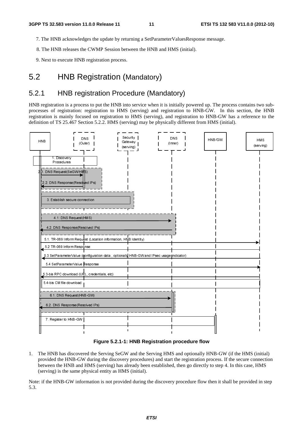- 7. The HNB acknowledges the update by returning a SetParameterValuesResponse message.
- 8. The HNB releases the CWMP Session between the HNB and HMS (initial).
- 9. Next to execute HNB registration process.

# 5.2 HNB Registration (Mandatory)

# 5.2.1 HNB registration Procedure (Mandatory)

HNB registration is a process to put the HNB into service when it is initially powered up. The process contains two subprocesses of registration: registration to HMS (serving) and registration to HNB-GW. In this section, the HNB registration is mainly focused on registration to HMS (serving), and registration to HNB-GW has a reference to the definition of TS 25.467 Section 5.2.2. HMS (serving) may be physically different from HMS (initial).



#### **Figure 5.2.1-1: HNB Registration procedure flow**

Find the HNB has discove<br>vided the HNB-GV<br>ween the HNB and<br>ving) is the same p<br>the HNB-GW info 1. The HNB has discovered the Serving SeGW and the Serving HMS and optionally HNB-GW (if the HMS (initial) provided the HNB-GW during the discovery procedures) and start the registration process. If the secure connection between the HNB and HMS (serving) has already been established, then go directly to step 4. In this case, HMS (serving) is the same physical entity as HMS (initial).

Note: if the HNB-GW information is not provided during the discovery procedure flow then it shall be provided in step 5.3.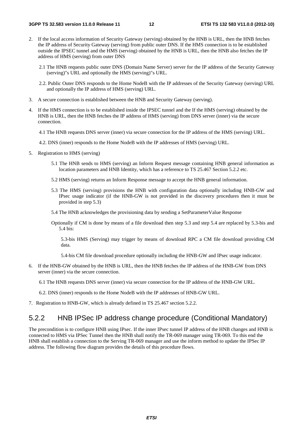- 2. If the local access information of Security Gateway (serving) obtained by the HNB is URL, then the HNB fetches the IP address of Security Gateway (serving) from public outer DNS. If the HMS connection is to be established outside the IPSEC tunnel and the HMS (serving) obtained by the HNB is URL, then the HNB also fetches the IP address of HMS (serving) from outer DNS
	- 2.1 The HNB requests public outer DNS (Domain Name Server) server for the IP address of the Security Gateway (serving)"s URL and optionally the HMS (serving)"s URL.
	- 2.2. Public Outer DNS responds to the Home NodeB with the IP addresses of the Security Gateway (serving) URL and optionally the IP address of HMS (serving) URL.
- 3. A secure connection is established between the HNB and Security Gateway (serving).
- 4. If the HMS connection is to be established inside the IPSEC tunnel and the If the HMS (serving) obtained by the HNB is URL, then the HNB fetches the IP address of HMS (serving) from DNS server (inner) via the secure connection.
	- 4.1 The HNB requests DNS server (inner) via secure connection for the IP address of the HMS (serving) URL.
	- 4.2. DNS (inner) responds to the Home NodeB with the IP addresses of HMS (serving) URL.
- 5. Registration to HMS (serving)
	- 5.1 The HNB sends to HMS (serving) an Inform Request message containing HNB general information as location parameters and HNB Identity, which has a reference to TS 25.467 Section 5.2.2 etc.
	- 5.2 HMS (serving) returns an Inform Response message to accept the HNB general information.
	- 5.3 The HMS (serving) provisions the HNB with configuration data optionally including HNB-GW and IPsec usage indicator (if the HNB-GW is not provided in the discovery procedures then it must be provided in step 5.3)
	- 5.4 The HNB acknowledges the provisioning data by sending a SetParameterValue Response
	- Optionally if CM is done by means of a file download then step 5.3 and step 5.4 are replaced by 5.3-bis and 5.4 bis:

5.3-bis HMS (Serving) may trigger by means of download RPC a CM file download providing CM data.

5.4-bis CM file download procedure optionally including the HNB-GW and IPsec usage indicator.

6. If the HNB-GW obtained by the HNB is URL, then the HNB fetches the IP address of the HNB-GW from DNS server (inner) via the secure connection.

6.1 The HNB requests DNS server (inner) via secure connection for the IP address of the HNB-GW URL.

- 6.2. DNS (inner) responds to the Home NodeB with the IP addresses of HNB-GW URL.
- 7. Registration to HNB-GW, which is already defined in TS 25.467 section 5.2.2.

### 5.2.2 HNB IPSec IP address change procedure (Conditional Mandatory)

The precondition is to configure HNB using IPsec. If the inner IPsec tunnel IP address of the HNB changes and HNB is connected to HMS via IPSec Tunnel then the HNB shall notify the TR-069 manager using TR-069. To this end the HNB shall establish a connection to the Serving TR-069 manager and use the inform method to update the IPSec IP address. The following flow diagram provides the details of this procedure flows.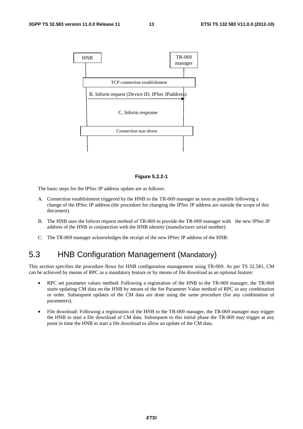

#### **Figure 5.2.2-1**

The basic steps for the IPSec IP address update are as follows:

- A. Connection establishment triggered by the HNB to the TR-069 manager as soon as possible following a change of the IPSec IP address (the procedure for changing the IPSec IP address are outside the scope of this document).
- B. The HNB uses the Inform request method of TR-069 to provide the TR-069 manager with the new IPSec IP address of the HNB in conjunction with the HNB identity (manufacturer serial number)
- C. The TR-069 manager acknowledges the receipt of the new IPSec IP address of the HNB.

# 5.3 HNB Configuration Management (Mandatory)

This section specifies the procedure flows for HNB configuration management using TR-069. As per TS 32.581, CM can be achieved by means of RPC as a mandatory feature or by means of file download as an optional feature:

- RPC set parameter values method: Following a registration of the HNB to the TR-069 manager, the TR-069 starts updating CM data on the HNB by means of the Set Parameter Value method of RPC in any combination or order. Subsequent updates of the CM data are done using the same procedure (for any combination of parameters).
- File download: Following a registration of the HNB to the TR-069 manager, the TR-069 manager may trigger the HNB to start a file download of CM data. Subsequent to this initial phase the TR-069 may trigger at any point in time the HNB to start a file download to allow an update of the CM data.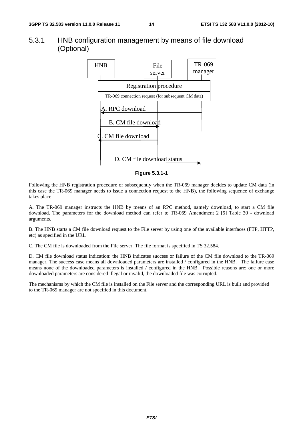### 5.3.1 HNB configuration management by means of file download (Optional)



#### **Figure 5.3.1-1**

Following the HNB registration procedure or subsequently when the TR-069 manager decides to update CM data (in this case the TR-069 manager needs to issue a connection request to the HNB), the following sequence of exchange takes place

A. The TR-069 manager instructs the HNB by means of an RPC method, namely download, to start a CM file download. The parameters for the download method can refer to TR-069 Amendment 2 [5] Table 30 - download arguments.

B. The HNB starts a CM file download request to the File server by using one of the available interfaces (FTP, HTTP, etc) as specified in the URL

C. The CM file is downloaded from the File server. The file format is specified in TS 32.584.

D. CM file download status indication: the HNB indicates success or failure of the CM file download to the TR-069 manager. The success case means all downloaded parameters are installed / configured in the HNB. The failure case means none of the downloaded parameters is installed / configured in the HNB. Possible reasons are: one or more downloaded parameters are considered illegal or invalid, the downloaded file was corrupted.

The mechanisms by which the CM file is installed on the File server and the corresponding URL is built and provided to the TR-069 manager are not specified in this document.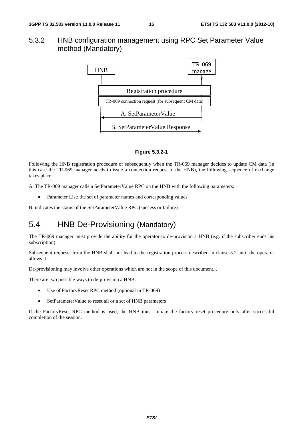### 5.3.2 HNB configuration management using RPC Set Parameter Value method (Mandatory)



#### **Figure 5.3.2-1**

Following the HNB registration procedure or subsequently when the TR-069 manager decides to update CM data (in this case the TR-069 manager needs to issue a connection request to the HNB), the following sequence of exchange takes place

A. The TR-069 manager calls a SetParameterValue RPC on the HNB with the following parameters:

• Parameter List: the set of parameter names and corresponding values

B. indicates the status of the SetParameterValue RPC (success or failure)

# 5.4 HNB De-Provisioning (Mandatory)

The TR-069 manager must provide the ability for the operator to de-provision a HNB (e.g. if the subscriber ends his subscription).

Subsequent requests from the HNB shall not lead to the registration process described in clause 5.2 until the operator allows it.

De-provisioning may involve other operations which are not in the scope of this document...

There are two possible ways to de-provision a HNB:

- Use of FactoryReset RPC method (optional in TR-069)
- SetParameterValue to reset all or a set of HNB parameters

If the FactoryReset RPC method is used, the HNB must initiate the factory reset procedure only after successful completion of the session.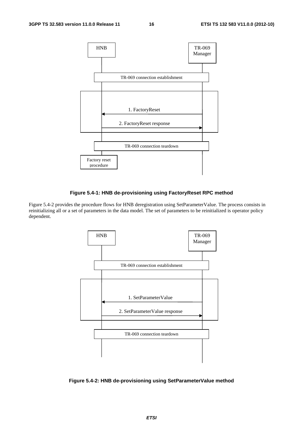

### **Figure 5.4-1: HNB de-provisioning using FactoryReset RPC method**

Figure 5.4-2 provides the procedure flows for HNB deregistration using SetParameterValue. The process consists in reinitializing all or a set of parameters in the data model. The set of parameters to be reinitialized is operator policy dependent.



**Figure 5.4-2: HNB de-provisioning using SetParameterValue method**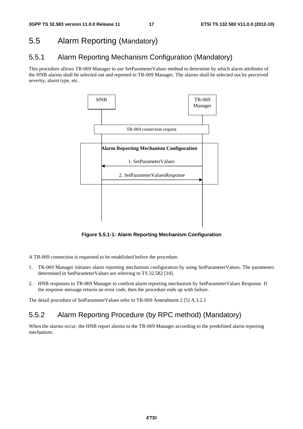# 5.5 Alarm Reporting (Mandatory)

# 5.5.1 Alarm Reporting Mechanism Configuration (Mandatory)

This procedure allows TR-069 Manager to use SetParameterValues method to determine by which alarm attributes of the HNB alarms shall be selected out and reported to TR-069 Manager. The alarms shall be selected out by perceived severity, alarm type, etc.



**Figure 5.5.1-1: Alarm Reporting Mechanism Configuration** 

A TR-069 connection is requested to be established before the procedure.

- 1. TR-069 Manager initiates alarm reporting mechanism configuration by using SetParameterValues. The parameters determined in SetParameterValues are referring to TS 32.582 [10].
- 2. HNB responses to TR-069 Manager to confirm alarm reporting mechanism by SetParameterValues Response. If the response message returns an error code, then the procedure ends up with failure.

The detail procedure of SetParameterValues refer to TR-069 Amendment 2 [5] A.3.2.1

# 5.5.2 Alarm Reporting Procedure (by RPC method) (Mandatory)

When the alarms occur, the HNB report alarms to the TR-069 Manager according to the predefined alarm reporting mechanism.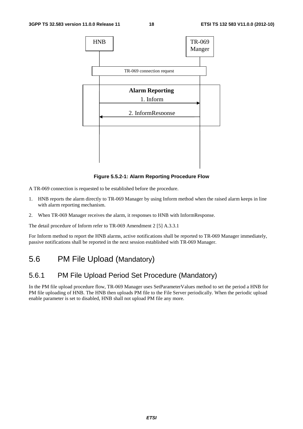

**Figure 5.5.2-1: Alarm Reporting Procedure Flow** 

A TR-069 connection is requested to be established before the procedure.

- 1. HNB reports the alarm directly to TR-069 Manager by using Inform method when the raised alarm keeps in line with alarm reporting mechanism.
- 2. When TR-069 Manager receives the alarm, it responses to HNB with InformResponse.

The detail procedure of Inform refer to TR-069 Amendment 2 [5] A.3.3.1

For Inform method to report the HNB alarms, active notifications shall be reported to TR-069 Manager immediately, passive notifications shall be reported in the next session established with TR-069 Manager.

# 5.6 PM File Upload (Mandatory)

# 5.6.1 PM File Upload Period Set Procedure (Mandatory)

In the PM file upload procedure flow, TR-069 Manager uses SetParameterValues method to set the period a HNB for PM file uploading of HNB. The HNB then uploads PM file to the File Server periodically. When the periodic upload enable parameter is set to disabled, HNB shall not upload PM file any more.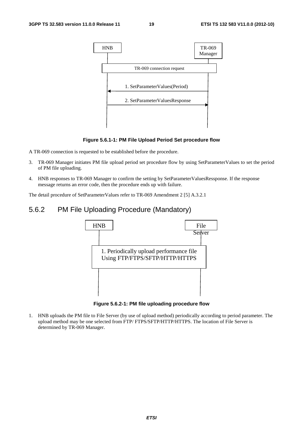

### **Figure 5.6.1-1: PM File Upload Period Set procedure flow**

A TR-069 connection is requested to be established before the procedure.

- 3. TR-069 Manager initiates PM file upload period set procedure flow by using SetParameterValues to set the period of PM file uploading.
- 4. HNB responses to TR-069 Manager to confirm the setting by SetParameterValuesRessponse. If the response message returns an error code, then the procedure ends up with failure.

The detail procedure of SetParameterValues refer to TR-069 Amendment 2 [5] A.3.2.1

### 5.6.2 PM File Uploading Procedure (Mandatory)



**Figure 5.6.2-1: PM file uploading procedure flow** 

1. HNB uploads the PM file to File Server (by use of upload method) periodically according to period parameter. The upload method may be one selected from FTP/ FTPS/SFTP/HTTP/HTTPS. The location of File Server is determined by TR-069 Manager.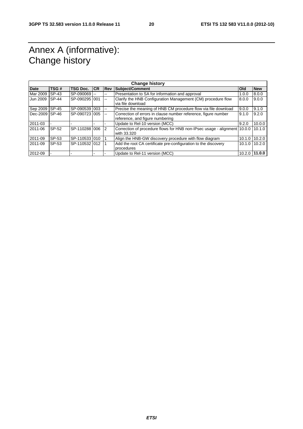# Annex A (informative): Change history

| <b>Change history</b> |              |                 |    |               |                                                                          |               |                 |
|-----------------------|--------------|-----------------|----|---------------|--------------------------------------------------------------------------|---------------|-----------------|
| <b>Date</b>           | TSG#         | <b>TSG Doc.</b> | CR | Rev           | Subject/Comment                                                          | <b>Old</b>    | <b>New</b>      |
| Mar 2009              | SP-43        | SP-090069       |    | $- -$         | Presentation to SA for information and approval                          | 1.0.0         | 8.0.0           |
| Jun 2009              | <b>SP-44</b> | SP-090295 001   |    | $\sim$ $\sim$ | Clarify the HNB Configuration Management (CM) procedure flow             | 8.0.0         | 9.0.0           |
|                       |              |                 |    |               | via file download                                                        |               |                 |
| Sep 2009 SP-45        |              | SP-090539 003   |    | $-$           | Precise the meaning of HNB CM procedure flow via file download           | 9.0.0         | 9.1.0           |
| Dec-2009 SP-46        |              | SP-090723 005   |    | $-1$          | Correction of errors in clause number reference, figure number           | 9.1.0         | 9.2.0           |
|                       |              |                 |    |               | reference, and figure numbering                                          |               |                 |
| 2011-03               |              |                 |    |               | Update to Rel-10 version (MCC)                                           | 9.2.0         | 10.0.0          |
| 2011-06               | SP-52        | SP-110288 006   |    | 2             | Correction of procedure flows for HNB non-IPsec usage - alignment 10.0.0 |               | 10.1.0          |
|                       |              |                 |    |               | with 33.320                                                              |               |                 |
| 2011-09               | SP-53        | SP-1105331010   |    |               | Align the HNB-GW discovery procedure with flow diagram                   | 10.1.0 10.2.0 |                 |
| 2011-09               | SP-53        | SP-110532 012   |    |               | Add the root CA certificate pre-configuration to the discovery           |               | $10.1.0$ 10.2.0 |
|                       |              |                 |    |               | procedures                                                               |               |                 |
| 2012-09               |              |                 |    |               | Update to Rel-11 version (MCC)                                           |               | $10.2.0$ 11.0.0 |